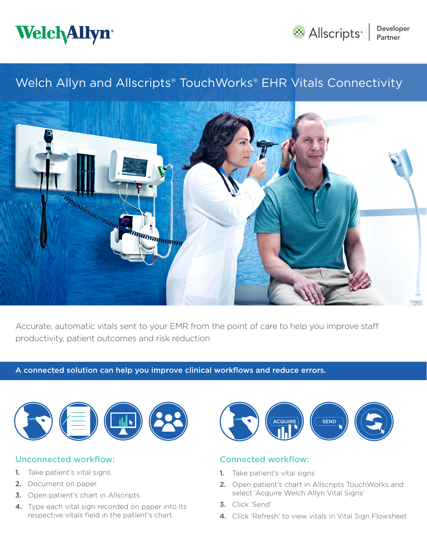



# Welch Allyn and Allscripts<sup>®</sup> TouchWorks<sup>®</sup> EHR Vitals Connectivity



Accurate, automatic vitals sent to your EMR from the point of care to help you improve staff productivity, patient outcomes and risk reduction

### A connected solution can help you improve clinical workflows and reduce errors.



## Unconnected workflow:

- 1. Take patient's vital signs
- 2. Document on paper
- **3.** Open patient's chart in Allscripts
- 4. Type each vital sign recorded on paper into its respective vitals field in the patient's chart



# Connected workflow:

- 1. Take patient's vital signs
- 2. Open patient's chart in Allscripts TouchWorks and select 'Acquire Welch Allyn Vital Signs'
- 3. Click 'Send'
- 4. Click 'Refresh' to view vitals in Vital Sign Flowsheet